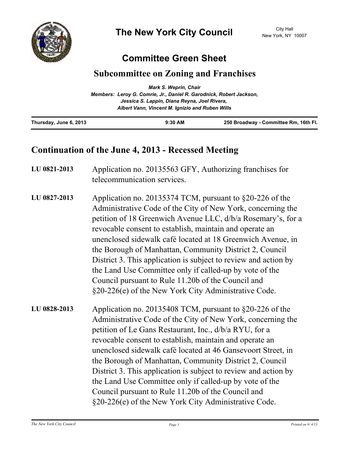

## **Committee Green Sheet**

## **Subcommittee on Zoning and Franchises**

|                                                                     | <b>Mark S. Weprin, Chair</b>                    |                                       |
|---------------------------------------------------------------------|-------------------------------------------------|---------------------------------------|
| Members: Leroy G. Comrie, Jr., Daniel R. Garodnick, Robert Jackson, |                                                 |                                       |
|                                                                     | Jessica S. Lappin, Diana Reyna, Joel Rivera,    |                                       |
|                                                                     | Albert Vann, Vincent M. Ignizio and Ruben Wills |                                       |
| Thursday, June 6, 2013                                              | $9:30$ AM                                       | 250 Broadway - Committee Rm, 16th Fl. |

## **Continuation of the June 4, 2013 - Recessed Meeting**

| LU 0821-2013 | Application no. 20135563 GFY, Authorizing franchises for<br>telecommunication services.                                                                                                                                                                                                                                                                                                                                                                                                                                                                                                                                     |
|--------------|-----------------------------------------------------------------------------------------------------------------------------------------------------------------------------------------------------------------------------------------------------------------------------------------------------------------------------------------------------------------------------------------------------------------------------------------------------------------------------------------------------------------------------------------------------------------------------------------------------------------------------|
| LU 0827-2013 | Application no. 20135374 TCM, pursuant to $\S20-226$ of the<br>Administrative Code of the City of New York, concerning the<br>petition of 18 Greenwich Avenue LLC, d/b/a Rosemary's, for a<br>revocable consent to establish, maintain and operate an<br>unenclosed sidewalk café located at 18 Greenwich Avenue, in<br>the Borough of Manhattan, Community District 2, Council<br>District 3. This application is subject to review and action by<br>the Land Use Committee only if called-up by vote of the<br>Council pursuant to Rule 11.20b of the Council and<br>§20-226(e) of the New York City Administrative Code. |
| LU 0828-2013 | Application no. 20135408 TCM, pursuant to $\S20-226$ of the<br>Administrative Code of the City of New York, concerning the<br>petition of Le Gans Restaurant, Inc., d/b/a RYU, for a<br>revocable consent to establish, maintain and operate an<br>unenclosed sidewalk café located at 46 Gansevoort Street, in<br>the Borough of Manhattan, Community District 2, Council<br>District 3. This application is subject to review and action by<br>the Land Use Committee only if called-up by vote of the<br>Council pursuant to Rule 11.20b of the Council and<br>§20-226(e) of the New York City Administrative Code.      |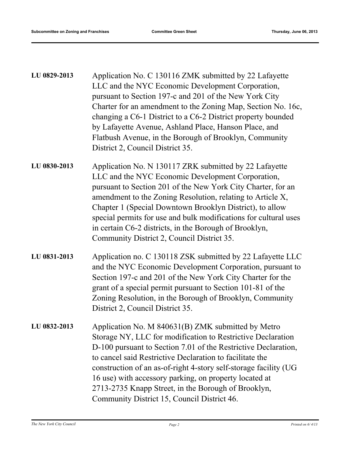| LU 0829-2013 | Application No. C 130116 ZMK submitted by 22 Lafayette<br>LLC and the NYC Economic Development Corporation,<br>pursuant to Section 197-c and 201 of the New York City<br>Charter for an amendment to the Zoning Map, Section No. 16c,<br>changing a C6-1 District to a C6-2 District property bounded<br>by Lafayette Avenue, Ashland Place, Hanson Place, and<br>Flatbush Avenue, in the Borough of Brooklyn, Community<br>District 2, Council District 35.                        |
|--------------|-------------------------------------------------------------------------------------------------------------------------------------------------------------------------------------------------------------------------------------------------------------------------------------------------------------------------------------------------------------------------------------------------------------------------------------------------------------------------------------|
| LU 0830-2013 | Application No. N 130117 ZRK submitted by 22 Lafayette<br>LLC and the NYC Economic Development Corporation,<br>pursuant to Section 201 of the New York City Charter, for an<br>amendment to the Zoning Resolution, relating to Article X,<br>Chapter 1 (Special Downtown Brooklyn District), to allow<br>special permits for use and bulk modifications for cultural uses<br>in certain C6-2 districts, in the Borough of Brooklyn,<br>Community District 2, Council District 35.   |
| LU 0831-2013 | Application no. C 130118 ZSK submitted by 22 Lafayette LLC<br>and the NYC Economic Development Corporation, pursuant to<br>Section 197-c and 201 of the New York City Charter for the<br>grant of a special permit pursuant to Section 101-81 of the<br>Zoning Resolution, in the Borough of Brooklyn, Community<br>District 2, Council District 35.                                                                                                                                |
| LU 0832-2013 | Application No. M 840631(B) ZMK submitted by Metro<br>Storage NY, LLC for modification to Restrictive Declaration<br>D-100 pursuant to Section 7.01 of the Restrictive Declaration,<br>to cancel said Restrictive Declaration to facilitate the<br>construction of an as-of-right 4-story self-storage facility (UG<br>16 use) with accessory parking, on property located at<br>2713-2735 Knapp Street, in the Borough of Brooklyn,<br>Community District 15, Council District 46. |